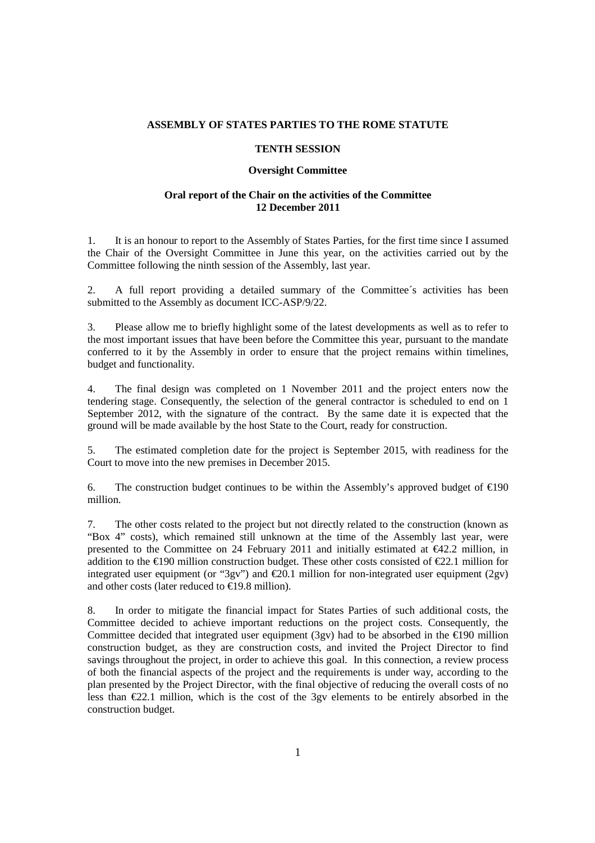## **ASSEMBLY OF STATES PARTIES TO THE ROME STATUTE**

## **TENTH SESSION**

## **Oversight Committee**

## **Oral report of the Chair on the activities of the Committee 12 December 2011**

1. It is an honour to report to the Assembly of States Parties, for the first time since I assumed the Chair of the Oversight Committee in June this year, on the activities carried out by the Committee following the ninth session of the Assembly, last year.

2. A full report providing a detailed summary of the Committee´s activities has been submitted to the Assembly as document ICC-ASP/9/22.

3. Please allow me to briefly highlight some of the latest developments as well as to refer to the most important issues that have been before the Committee this year, pursuant to the mandate conferred to it by the Assembly in order to ensure that the project remains within timelines, budget and functionality.

4. The final design was completed on 1 November 2011 and the project enters now the tendering stage. Consequently, the selection of the general contractor is scheduled to end on 1 September 2012, with the signature of the contract. By the same date it is expected that the ground will be made available by the host State to the Court, ready for construction.

5. The estimated completion date for the project is September 2015, with readiness for the Court to move into the new premises in December 2015.

6. The construction budget continues to be within the Assembly's approved budget of  $\epsilon$ 190 million.

7. The other costs related to the project but not directly related to the construction (known as "Box 4" costs), which remained still unknown at the time of the Assembly last year, were presented to the Committee on 24 February 2011 and initially estimated at  $\epsilon$ 42.2 million, in addition to the  $\epsilon$ 190 million construction budget. These other costs consisted of  $\epsilon$ 22.1 million for integrated user equipment (or "3gv") and  $\epsilon$ 20.1 million for non-integrated user equipment (2gv) and other costs (later reduced to  $\epsilon$ 19.8 million).

8. In order to mitigate the financial impact for States Parties of such additional costs, the Committee decided to achieve important reductions on the project costs. Consequently, the Committee decided that integrated user equipment (3gv) had to be absorbed in the  $\epsilon$ 190 million construction budget, as they are construction costs, and invited the Project Director to find savings throughout the project, in order to achieve this goal. In this connection, a review process of both the financial aspects of the project and the requirements is under way, according to the plan presented by the Project Director, with the final objective of reducing the overall costs of no less than  $\epsilon$ 22.1 million, which is the cost of the 3gy elements to be entirely absorbed in the construction budget.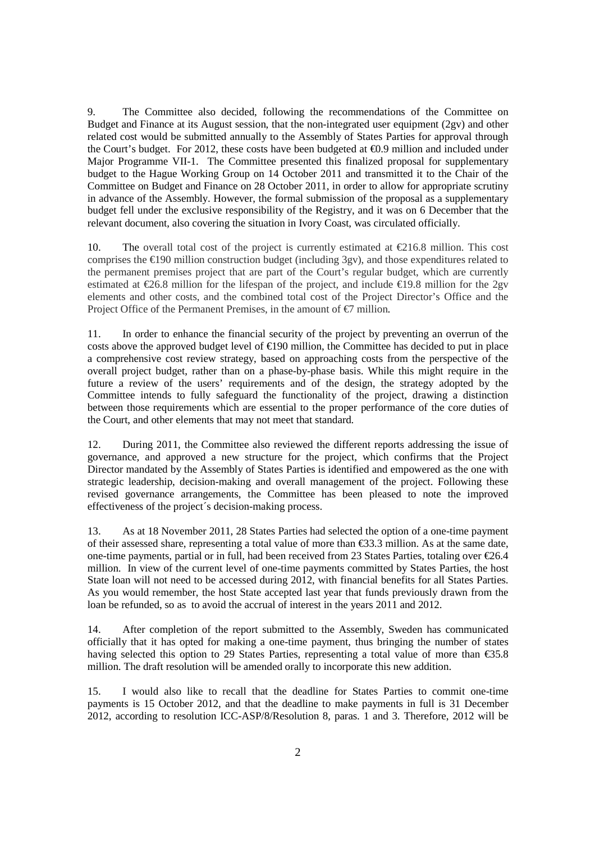9. The Committee also decided, following the recommendations of the Committee on Budget and Finance at its August session, that the non-integrated user equipment (2gv) and other related cost would be submitted annually to the Assembly of States Parties for approval through the Court's budget. For 2012, these costs have been budgeted at  $\epsilon$ 0.9 million and included under Major Programme VII-1. The Committee presented this finalized proposal for supplementary budget to the Hague Working Group on 14 October 2011 and transmitted it to the Chair of the Committee on Budget and Finance on 28 October 2011, in order to allow for appropriate scrutiny in advance of the Assembly. However, the formal submission of the proposal as a supplementary budget fell under the exclusive responsibility of the Registry, and it was on 6 December that the relevant document, also covering the situation in Ivory Coast, was circulated officially.

10. The overall total cost of the project is currently estimated at  $\epsilon$ 216.8 million. This cost comprises the  $\epsilon$ 190 million construction budget (induding 3gv), and those expenditures related to the permanent premises project that are part of the Court's regular budget, which are currently estimated at  $\epsilon$ 26.8 million for the lifespan of the project, and include  $\epsilon$ 19.8 million for the 2gv elements and other costs, and the combined total cost of the Project Director's Office and the Project Office of the Permanent Premises, in the amount of  $\epsilon$ 7 million.

11. In order to enhance the financial security of the project by preventing an overrun of the costs above the approved budget level of  $\epsilon$ 190 million, the Committee has decided to put in place a comprehensive cost review strategy, based on approaching costs from the perspective of the overall project budget, rather than on a phase-by-phase basis. While this might require in the future a review of the users' requirements and of the design, the strategy adopted by the Committee intends to fully safeguard the functionality of the project, drawing a distinction between those requirements which are essential to the proper performance of the core duties of the Court, and other elements that may not meet that standard.

12. During 2011, the Committee also reviewed the different reports addressing the issue of governance, and approved a new structure for the project, which confirms that the Project Director mandated by the Assembly of States Parties is identified and empowered as the one with strategic leadership, decision-making and overall management of the project. Following these revised governance arrangements, the Committee has been pleased to note the improved effectiveness of the project´s decision-making process.

13. As at 18 November 2011, 28 States Parties had selected the option of a one-time payment of their assessed share, representing a total value of more than €33.3 million. As at the same date, one-time payments, partial or in full, had been received from 23 States Parties, totaling over €26.4 million. In view of the current level of one-time payments committed by States Parties, the host State loan will not need to be accessed during 2012, with financial benefits for all States Parties. As you would remember, the host State accepted last year that funds previously drawn from the loan be refunded, so as to avoid the accrual of interest in the years 2011 and 2012.

14. After completion of the report submitted to the Assembly, Sweden has communicated officially that it has opted for making a one-time payment, thus bringing the number of states having selected this option to 29 States Parties, representing a total value of more than  $\epsilon$ 35.8 million. The draft resolution will be amended orally to incorporate this new addition.

15. I would also like to recall that the deadline for States Parties to commit one-time payments is 15 October 2012, and that the deadline to make payments in full is 31 December 2012, according to resolution ICC-ASP/8/Resolution 8, paras. 1 and 3. Therefore, 2012 will be